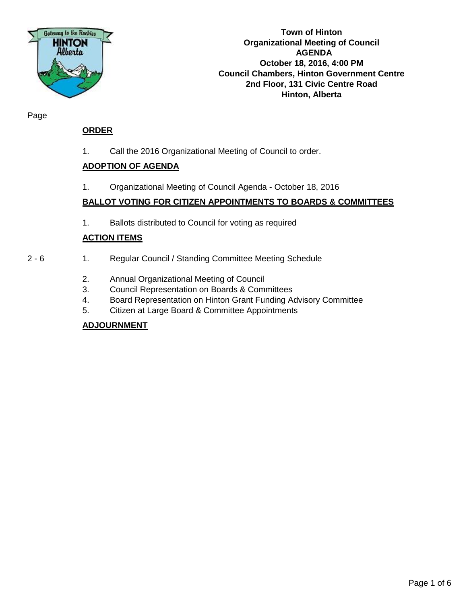

**Town of Hinton Organizational Meeting of Council AGENDA October 18, 2016, 4:00 PM Council Chambers, Hinton Government Centre 2nd Floor, 131 Civic Centre Road Hinton, Alberta**

Page

## **ORDER**

1. Call the 2016 Organizational Meeting of Council to order.

## **ADOPTION OF AGENDA**

1. Organizational Meeting of Council Agenda - October 18, 2016

## **BALLOT VOTING FOR CITIZEN APPOINTMENTS TO BOARDS & COMMITTEES**

1. Ballots distributed to Council for voting as required

## **ACTION ITEMS**

- 2 6 1. Regular Council / Standing Committee Meeting Schedule
	- 2. Annual Organizational Meeting of Council
	- 3. Council Representation on Boards & Committees
	- 4. Board Representation on Hinton Grant Funding Advisory Committee
	- 5. Citizen at Large Board & Committee Appointments

## **ADJOURNMENT**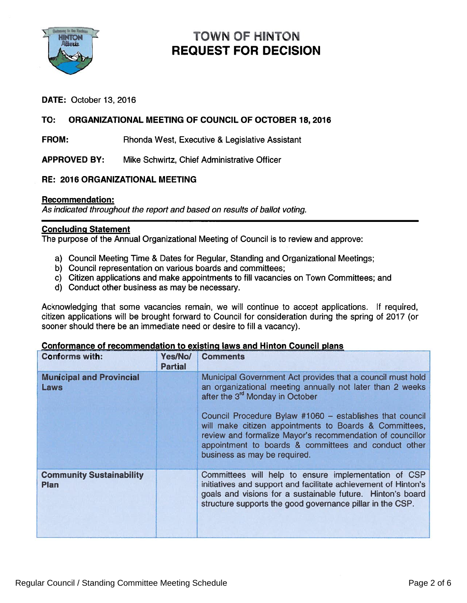

# TOWN OF HINTON REQUEST FOR DECISION

## DATE: October 13, 2016

## TO: ORGANIZATIONAL MEETING OF COUNCIL OF OCTOBER 18, 2016

FROM: Rhonda West, Executive & Legislative Assistant

APPROVED BY: Mike Schwirtz, Chief Administrative Officer

## RE: 2016 ORGANIZATIONAL MEETING

#### Recommendation:

As indicated throughout the repor<sup>t</sup> and based on results of ballot voting.

#### Concluding Statement

The purpose of the Annual Organizational Meeting of Council is to review and approve:

- a) Council Meeting Time & Dates for Regular, Standing and Organizational Meetings;
- b) Council representation on various boards and committees;
- c) Citizen applications and make appointments to fill vacancies on Town Committees; and
- d) Conduct other business as may be necessary.

Acknowledging that some vacancies remain, we will continue to accep<sup>t</sup> applications. If required, citizen applications will be brought forward to Council for consideration during the spring of 2017 (or sooner should there be an immediate need or desire to fill <sup>a</sup> vacancy).

| <b>Conforms with:</b>                          | Yes/No/<br><b>Partial</b> | <b>Comments</b>                                                                                                                                                                                                                                                                                                                                                                                                                                   |
|------------------------------------------------|---------------------------|---------------------------------------------------------------------------------------------------------------------------------------------------------------------------------------------------------------------------------------------------------------------------------------------------------------------------------------------------------------------------------------------------------------------------------------------------|
| <b>Municipal and Provincial</b><br>Laws        |                           | Municipal Government Act provides that a council must hold<br>an organizational meeting annually not later than 2 weeks<br>after the 3 <sup>rd</sup> Monday in October<br>Council Procedure Bylaw #1060 - establishes that council<br>will make citizen appointments to Boards & Committees,<br>review and formalize Mayor's recommendation of councillor<br>appointment to boards & committees and conduct other<br>business as may be required. |
| <b>Community Sustainability</b><br><b>Plan</b> |                           | Committees will help to ensure implementation of CSP<br>initiatives and support and facilitate achievement of Hinton's<br>goals and visions for a sustainable future. Hinton's board<br>structure supports the good governance pillar in the CSP.                                                                                                                                                                                                 |

#### Conformance of recommendation to existing laws and Hinton Council plans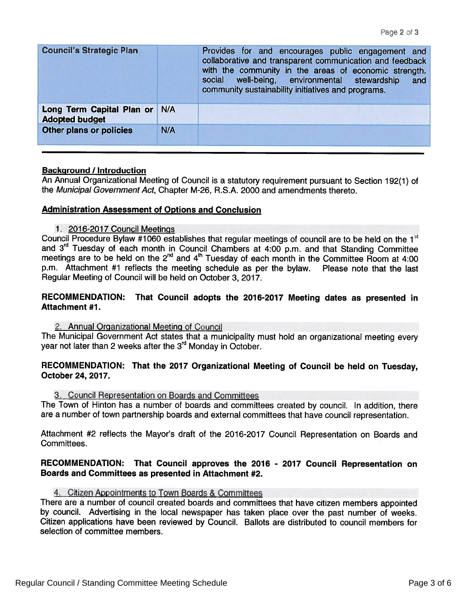| <b>Council's Strategic Plan</b>                    |     | Provides for and encourages public engagement and<br>collaborative and transparent communication and feedback<br>with the community in the areas of economic strength,<br>social well-being, environmental stewardship<br>and<br>community sustainability initiatives and programs. |
|----------------------------------------------------|-----|-------------------------------------------------------------------------------------------------------------------------------------------------------------------------------------------------------------------------------------------------------------------------------------|
| Long Term Capital Plan or<br><b>Adopted budget</b> | N/A |                                                                                                                                                                                                                                                                                     |
| Other plans or policies                            | N/A |                                                                                                                                                                                                                                                                                     |

### Background / Introduction

An Annual Organizational Meeting of Council is <sup>a</sup> statutory requirement pursuan<sup>t</sup> to Section 192(1) of the Municipal Government Act, Chapter M-26, R.S.A. 2000 and amendments thereto.

### Administration Assessment of Options and Conclusion

#### 1. 2016-2017 Council Meetings

Council Procedure Bylaw #1060 establishes that regular meetings of council are to be held on the 1st and 3<sup>rd</sup> Tuesday of each month in Council Chambers at 4:00 p.m. and that Standing Committee meetings are to be held on the 2<sup>nd</sup> and 4<sup>th</sup> Tuesday of each month in the Committee Room at 4:00 p.m. Attachment #1 reflects the meeting schedule as per the bylaw. Please note that the last Regular Meeting of Council will be held on October 3, 2017.

### RECOMMENDATION: That Council adopts the 2076-2017 Meeting dates as presented in Attachment #1.

#### 2. Annual Organizational Meeting of Council

The Municipal Government Act states that <sup>a</sup> municipality must hold an organizational meeting every year not later than 2 weeks after the 3<sup>rd</sup> Monday in October.

## RECOMMENDATION: That the <sup>2017</sup> Organizational Meeting of Council be held on Tuesday, October 24, 2017.

#### 3. Council Representation on Boards and Committees

The Town of Hinton has <sup>a</sup> number of boards and committees created by council. In addition, there are <sup>a</sup> number of town partnership boards and external committees that have council representation.

Attachment #2 reflects the Mayor's draft of the 2016-2017 Council Representation on Boards and Committees.

## RECOMMENDATION: That Council approves the <sup>2016</sup> - <sup>2077</sup> Council Representation on Boards and Committees as presented in Attachment #2.

#### 4. Citizen Appointments to Town Boards & Committees

There are <sup>a</sup> number of council created boards and committees that have citizen members appointed by council. Advertising in the local newspaper has taken <sup>p</sup>lace over the pas<sup>t</sup> number of weeks. Citizen applications have been reviewed by Council. Ballots are distributed to council members for selection of committee members.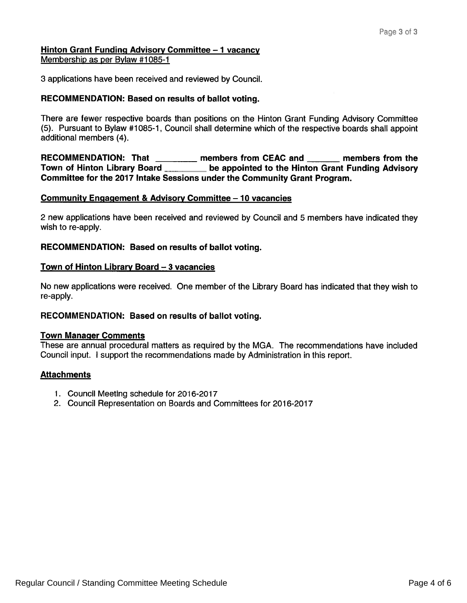## Hinton Grant Funding Advisory Committee - 1 vacancy Membership as per Bylaw #1085-1

3 applications have been received and reviewed by Council.

## RECOMMENDATION: Based on results of ballot voting.

There are fewer respective boards than positions on the Hinton Grant Funding Advisory Committee (5). Pursuant to Bylaw #1085-1, Council shall determine which of the respective boards shall appoint additional members (4). Recommission Committee - 1 vacancy<br>
Representing a per Bylaw #1085-1<br>
RECOMMENDATION: Based on results of ballot voting.<br>
RECOMMENDATION: Based on results of ballot voting.<br>
There are fewer respective boards than positions Fage 3 of 3<br>
Hinton Grant Funding Advisory Committee – 1 vacancy<br>
3 applications have been received and reviewed by Council.<br>
RECOMMENDATION: Based on results of ballot voting.<br>
There are fewer respective boards than posit

Committee for the 2017 Intake Sessions under the Community Grant Program.

## Community Engagement & Advisory Committee — 10 vacancies

2 new applications have been received and reviewed by Council and 5 members have indicated they wish to re-apply.

## RECOMMENDATION: Based on results of ballot voting.

## Town of Hinton Library Board — 3 vacancies

No new applications were received. One member of the Library Board has indicated that they wish to re-apply.

## RECOMMENDATION: Based on results of ballot voting.

## Town Manager Comments

These are annual procedural matters as required by the MGA. The recommendations have included Council input. <sup>I</sup> suppor<sup>t</sup> the recommendations made by Administration in this report.

## **Attachments**

- 1. Council Meeting schedule for 2016-2017
- 2. Council Representation on Boards and Committees for 2016-2017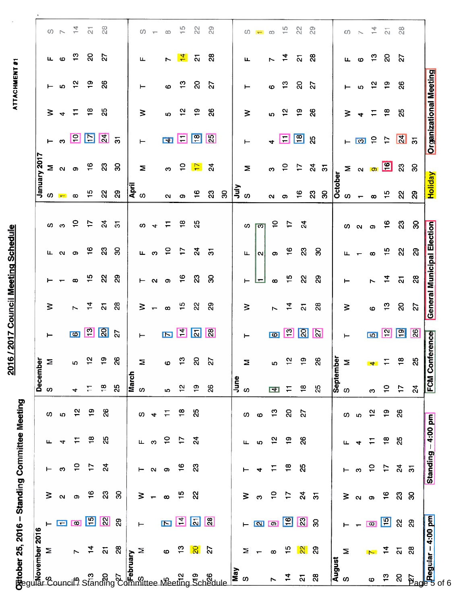|                                                                                                                                                                                                                              | Matober 25, 2016 – Standing Committee Meeting<br>Envoyember 2016<br>Proper M T M T F S S<br>Committee Meeting<br>Proper M T F S S<br>S Committee Meeting<br>D 2 3 4 5<br>S S S S 4 5<br>12 4 |                       |                |                       |                       |                       |                 |                         |                               |                         |                                   |                             |                   |                                                |                               |                         |                       |                             |                                  |  |
|------------------------------------------------------------------------------------------------------------------------------------------------------------------------------------------------------------------------------|----------------------------------------------------------------------------------------------------------------------------------------------------------------------------------------------|-----------------------|----------------|-----------------------|-----------------------|-----------------------|-----------------|-------------------------|-------------------------------|-------------------------|-----------------------------------|-----------------------------|-------------------|------------------------------------------------|-------------------------------|-------------------------|-----------------------|-----------------------------|----------------------------------|--|
|                                                                                                                                                                                                                              |                                                                                                                                                                                              |                       |                |                       |                       |                       | <b>December</b> |                         |                               |                         |                                   |                             |                   | January 2017                                   |                               |                         |                       |                             |                                  |  |
|                                                                                                                                                                                                                              |                                                                                                                                                                                              |                       |                |                       |                       | <b>S</b>              | Σ               | ⊢                       | $\geq$                        |                         | ட                                 | $\omega$                    | <b>SC</b>         |                                                | $\vdash$                      | $\geq$                  | $\vdash$              | Щ.                          | $\circ$ $\sim$                   |  |
|                                                                                                                                                                                                                              |                                                                                                                                                                                              |                       |                |                       |                       |                       |                 |                         |                               |                         | $\mathbf{N}$                      | ო                           |                   |                                                |                               | $\rightarrow$           | Ю                     |                             |                                  |  |
|                                                                                                                                                                                                                              | $\boxed{\infty}$                                                                                                                                                                             |                       |                |                       |                       | 4                     | ω               | $\overline{\omega}$     |                               | $\infty$                | െ                                 | $\overline{c}$              | $\infty$          |                                                |                               | $\Xi$                   |                       |                             | $\frac{14}{2}$ $\frac{1}{21}$    |  |
| ິຕ<br>Standing                                                                                                                                                                                                               | $\mathbb{E}$<br>$\frac{1}{4}$                                                                                                                                                                | $\frac{6}{1}$         | $\ddot{ }$     | $\frac{8}{18}$        | စ္                    | Ξ                     | $\frac{1}{2}$   | $\vert$ 2               | $\overline{z}$                | $\frac{15}{1}$          | ္မင္                              | $\frac{5}{2}$               | $\frac{6}{1}$     | $\Sigma$ လ စာ $\stackrel{\phi}{\leftarrow}$ လိ | <u>្ល ខា ២ ន</u>              | <u>്ക</u>               | ္ဗာ ဗ္                |                             |                                  |  |
|                                                                                                                                                                                                                              | $\frac{1}{2}$<br>$\overline{\mathbf{a}}$                                                                                                                                                     | 23                    | $\overline{a}$ | 25                    | 88                    | $\frac{\infty}{\tau}$ | $\frac{1}{2}$   | S                       | $\overline{\mathbf{z}}$       | ୍ଷ                      | ಔ                                 |                             | $\mathcal{S}$     |                                                |                               | 25                      | 88                    |                             | 28                               |  |
| $\tilde{\mathcal{S}}$                                                                                                                                                                                                        | $\mathbf{a}$<br>28                                                                                                                                                                           | ႙                     |                |                       |                       | 25                    | 88              | 27                      | $\mathbf{a}$                  | $\mathbf{S}$            | 8                                 | $\overline{5}$              | ၛၟ                | ႙                                              | $\overline{5}$                |                         |                       |                             |                                  |  |
|                                                                                                                                                                                                                              |                                                                                                                                                                                              |                       |                |                       |                       |                       |                 |                         |                               |                         |                                   |                             |                   |                                                |                               |                         |                       |                             |                                  |  |
|                                                                                                                                                                                                                              | $\vdash$<br>Σ                                                                                                                                                                                | ⋧                     | ⊢              | Щ.                    | ပာ                    | March<br>S            | Σ               | $\vdash$                | $\geq$                        | $\vdash$                | Щ.                                | <b>SC</b>                   | April<br>S        | Σ                                              | $\vdash$                      | $\geq$                  | ⊢                     | Щ                           | $\omega$                         |  |
|                                                                                                                                                                                                                              |                                                                                                                                                                                              |                       | 2              | $\boldsymbol{\infty}$ | 4                     |                       |                 |                         | $\blacksquare$                |                         | ო                                 | $\rightarrow$               |                   |                                                |                               |                         |                       |                             | $\overline{\phantom{m}}$         |  |
|                                                                                                                                                                                                                              | $\blacksquare$                                                                                                                                                                               | $\infty$              | $\sigma$       | $\frac{1}{2}$         | Ξ                     | ΙO.                   | $\circ$         | $\blacksquare$          | $\infty$                      | $\alpha$ o              | $\overline{a}$                    | $\Gamma$                    | $\mathbf{a}$      | ო                                              |                               | <u>ທ</u>                | $\boldsymbol{\omega}$ |                             | $\infty$                         |  |
| and and all the set of the set of the set of the set of the set of the set of the set of the set of the set of the set of the set of the set of the set of the set of the set of the set of the set of the set of the set of | $\mathbb{Z}$ $\mathbb{Z}$<br>$\frac{3}{2}$                                                                                                                                                   | $\frac{5}{1}$         | $\frac{6}{1}$  | $\frac{1}{2}$         | $\frac{8}{10}$        | $\frac{1}{2}$         | $\frac{3}{2}$   | 凹                       | ္မက္                          | $\frac{6}{5}$           | $\ddot{=}$                        | $\frac{8}{1}$               | $\sigma$          |                                                | $\blacksquare$                | ္မွာ စ္                 | ္ကာ                   | $\frac{1}{4}$ $\frac{5}{4}$ | $\frac{1}{2}$                    |  |
|                                                                                                                                                                                                                              | $\mathbf{S}$                                                                                                                                                                                 | 2                     | ಔ              | $\overline{a}$        | 25                    | $\frac{6}{1}$         | $\Omega$        | $ \vec{a} $             | ୍ଷ                            | ನಿ                      | $\mathbb{Z}^4$                    | 25                          | $\frac{6}{5}$     | $\frac{1}{2}$                                  | $\boxed{\frac{\infty}{2}}$    |                         | ୍ଷ                    |                             | 22                               |  |
|                                                                                                                                                                                                                              | $\frac{1}{2}$<br>2Z                                                                                                                                                                          |                       |                |                       |                       | 26                    | 27              | $\mathbb{R}$            | $\mathbf{S}^{\mathbf{S}}$     | ္က                      | $\overline{5}$                    |                             | $\mathbb{S}^2$    | $\mathfrak{A}$                                 | $\mathbb{E}$                  | 8                       | 5                     | ၛ                           | 29                               |  |
|                                                                                                                                                                                                                              |                                                                                                                                                                                              |                       |                |                       |                       |                       |                 |                         |                               |                         |                                   |                             | ႙ၟ                |                                                |                               |                         |                       |                             |                                  |  |
| $\frac{1}{2}$ or                                                                                                                                                                                                             |                                                                                                                                                                                              |                       |                |                       |                       | June<br>S             |                 |                         |                               |                         |                                   |                             |                   |                                                |                               |                         |                       |                             |                                  |  |
|                                                                                                                                                                                                                              | $\vdash$<br>Σ                                                                                                                                                                                | $\geq$                |                | ш                     | w                     |                       | Σ               | $\vdash$                | $\geq$                        | ⊢                       | $\mathbf u$                       | S.                          | $\frac{1}{2}$ w   | Σ                                              | $\vdash$                      | $\geq$                  | ⊢                     | ட                           | S.                               |  |
|                                                                                                                                                                                                                              | $\overline{\phantom{0}}$                                                                                                                                                                     | ო                     | 4              | <b>5</b>              | $\boldsymbol{\omega}$ |                       |                 |                         |                               | $\blacksquare$          | $\mathbf{N}$                      | $\sqrt{2}$                  |                   |                                                |                               |                         |                       |                             | T                                |  |
| $\overline{ }$                                                                                                                                                                                                               | $\boxed{\mathsf{N}}$<br>$\infty$                                                                                                                                                             | $\overline{a}$        | Ξ              | $\frac{1}{2}$         | $\frac{3}{2}$         | <u>ज</u>              | Ю               | <b>TO</b>               |                               | $\infty$                | $\bullet$                         |                             | $\mathbf{\alpha}$ | ო                                              | $\rightarrow$                 | ທ                       | $\boldsymbol{\omega}$ |                             | $\infty$                         |  |
| $\frac{4}{7}$                                                                                                                                                                                                                | $\mathbf{F}$<br>45                                                                                                                                                                           | $\ddot{ }$            | $\frac{8}{18}$ | $\frac{9}{1}$         | $\overline{5}$        | $\overline{1}$        | 얻               | 19                      | $\overline{r}$ $\overline{4}$ | $\frac{10}{2}$          | $\frac{6}{5}$                     | 5 <sup>2</sup>              | $\sigma$          | P P                                            | $\Box$ $\Box$                 |                         |                       | $\frac{1}{2}$ $\frac{1}{2}$ | $\frac{1}{2}$                    |  |
| $\overline{\mathbf{a}}$                                                                                                                                                                                                      | $\overline{\mathbb{S}}$<br>$\frac{1}{2}$                                                                                                                                                     | $\mathbf{z}$          | $\mathcal{S}$  | 26                    | 27                    | $\frac{8}{1}$         | $\frac{1}{2}$   | $\mathbb{S}$            | $\overline{\mathbf{c}}$       | ୍ଷ                      | $\mathbf{\Omega}$                 | $\mathfrak{p}$              | $\frac{6}{5}$     |                                                |                               |                         |                       |                             | $\overline{22}$                  |  |
| $\mathbf{g}$                                                                                                                                                                                                                 | ႙<br>$\mathbf{S}$                                                                                                                                                                            | $\overline{5}$        |                |                       |                       | 25                    | 8               | $\overline{\mathbf{z}}$ | $\overline{28}$               | ဥ္သ                     | 8                                 |                             | $\mathbf{S}$      | ್ನ ಸ                                           | ಜ                             |                         |                       | ್ನಿ                         | 29                               |  |
|                                                                                                                                                                                                                              |                                                                                                                                                                                              |                       |                |                       |                       |                       |                 |                         |                               |                         |                                   |                             | $\boldsymbol{S}$  |                                                |                               |                         |                       |                             |                                  |  |
| August<br>S                                                                                                                                                                                                                  |                                                                                                                                                                                              |                       |                |                       |                       | September<br>S<br>S   |                 |                         |                               |                         |                                   |                             |                   |                                                |                               |                         |                       |                             |                                  |  |
|                                                                                                                                                                                                                              | Σ                                                                                                                                                                                            | $\geq$                | ⊢              | ட                     | S.                    |                       |                 | ٣                       | ⋧                             |                         | ட                                 |                             | October<br>S<br>S |                                                |                               | ⋧                       |                       | ш.                          |                                  |  |
|                                                                                                                                                                                                                              |                                                                                                                                                                                              | $\boldsymbol{\alpha}$ | ო              | 4                     | Ю                     |                       |                 |                         |                               |                         |                                   | $O$ $Q$ $O$                 | $\overline{ }$    |                                                |                               |                         |                       | ຺ ຕື ລິ                     | $0 - \frac{4}{7} - \frac{1}{10}$ |  |
| $\pmb{\circ}$                                                                                                                                                                                                                | $\boxed{\infty}$<br>N                                                                                                                                                                        | $\mathbf{\Omega}$     | $\frac{1}{2}$  | $\overline{1}$        | $\frac{1}{2}$         | c                     | 4               | $\overline{\mathbf{u}}$ | $\boldsymbol{\omega}$         | $\overline{ }$          | $\infty$                          |                             | $\infty$          |                                                |                               | $\Xi$                   | <u>ທ 24</u> ອ         |                             |                                  |  |
| $\frac{1}{2}$                                                                                                                                                                                                                | 凹<br>$\frac{4}{7}$                                                                                                                                                                           | $\frac{1}{6}$         | $\ddot{ }$     | $\frac{8}{10}$        | $\overline{1}$        | $\frac{1}{2}$         |                 | $\mathbf{r}$            | $\frac{1}{2}$                 | $\frac{1}{4}$           | $\frac{15}{1}$                    | $\frac{6}{1}$               | မှု               | $\geq$ $\alpha$ $\circ$ $\boxed{9}$ $\%$ $\%$  | <b>- 回 은 는</b>                | $\frac{\infty}{\infty}$ |                       |                             |                                  |  |
| g                                                                                                                                                                                                                            | $\mathbf{z}$<br>$\overline{\mathbf{a}}$                                                                                                                                                      | 23                    | $\mathfrak{a}$ | 25                    | 26                    | $\mathsf{L}$          | $\frac{8}{1}$   | $\boxed{9}$             | ຸຊ                            | $\overline{\mathbf{z}}$ | ଧ୍ୟ                               | ಔ                           | ನಿ                |                                                | $\mathbb{Z}^2$ $\approx$      | ನೆ                      | $\frac{8}{2}$         | 72                          | 28                               |  |
| $\begin{array}{c}\n 28 \\  \hline\n \text{20}\n \end{array}$                                                                                                                                                                 | 29                                                                                                                                                                                           | ႙                     | $\overline{5}$ |                       |                       | $\overline{a}$        | $\mathcal{S}$   | 8                       | 27                            | $\mathbf{a}$            | $\overline{29}$                   | $\mathcal{S}^{\mathcal{O}}$ | $\mathbf{g}$      |                                                |                               |                         |                       |                             |                                  |  |
|                                                                                                                                                                                                                              | 4:00 pm                                                                                                                                                                                      |                       |                | Standing - 4:00 pm    |                       | FCM Cont              | ference         |                         |                               |                         | <b>General Municipal Election</b> |                             | Holiday           |                                                | <b>Organizational Meeting</b> |                         |                       |                             |                                  |  |
| of 6                                                                                                                                                                                                                         |                                                                                                                                                                                              |                       |                |                       |                       |                       |                 |                         |                               |                         |                                   |                             |                   |                                                |                               |                         |                       |                             |                                  |  |
|                                                                                                                                                                                                                              |                                                                                                                                                                                              |                       |                |                       |                       |                       |                 |                         |                               |                         |                                   |                             |                   |                                                |                               |                         |                       |                             |                                  |  |

2016 / 2017 Council Meeting Schedule<br>
ATTACHMENT #1

Ogtober 25, 2016 – Standing Committee Meeting